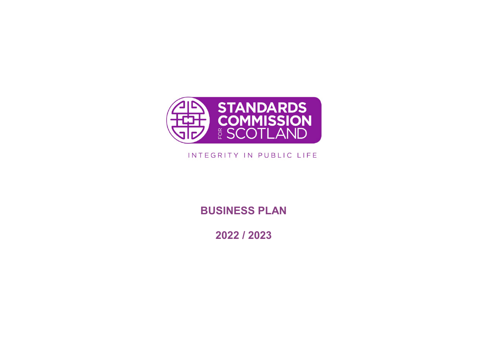

# INTEGRITY IN PUBLIC LIFE

**BUSINESS PLAN**

**2022 / 2023**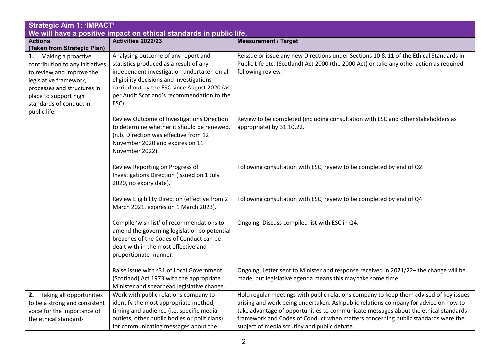| <b>Strategic Aim 1: 'IMPACT'</b><br>We will have a positive impact on ethical standards in public life.                                                                                                               |                                                                                                                                                                                                                                                                                 |                                                                                                                                                                                                                                                                                                                                                                                                           |
|-----------------------------------------------------------------------------------------------------------------------------------------------------------------------------------------------------------------------|---------------------------------------------------------------------------------------------------------------------------------------------------------------------------------------------------------------------------------------------------------------------------------|-----------------------------------------------------------------------------------------------------------------------------------------------------------------------------------------------------------------------------------------------------------------------------------------------------------------------------------------------------------------------------------------------------------|
| <b>Actions</b><br>(Taken from Strategic Plan)                                                                                                                                                                         | Activities 2022/23                                                                                                                                                                                                                                                              | <b>Measurement / Target</b>                                                                                                                                                                                                                                                                                                                                                                               |
| Making a proactive<br>1.<br>contribution to any initiatives<br>to review and improve the<br>legislative framework,<br>processes and structures in<br>place to support high<br>standards of conduct in<br>public life. | Analysing outcome of any report and<br>statistics produced as a result of any<br>independent investigation undertaken on all<br>eligibility decisions and investigations<br>carried out by the ESC since August 2020 (as<br>per Audit Scotland's recommendation to the<br>ESC). | Reissue or issue any new Directions under Sections 10 & 11 of the Ethical Standards in<br>Public Life etc. (Scotland) Act 2000 (the 2000 Act) or take any other action as required<br>following review.                                                                                                                                                                                                   |
|                                                                                                                                                                                                                       | Review Outcome of Investigations Direction<br>to determine whether it should be renewed.<br>(n.b. Direction was effective from 12<br>November 2020 and expires on 11<br>November 2022).                                                                                         | Review to be completed (including consultation with ESC and other stakeholders as<br>appropriate) by 31.10.22.                                                                                                                                                                                                                                                                                            |
|                                                                                                                                                                                                                       | Review Reporting on Progress of<br>Investigations Direction (issued on 1 July<br>2020, no expiry date).                                                                                                                                                                         | Following consultation with ESC, review to be completed by end of Q2.                                                                                                                                                                                                                                                                                                                                     |
|                                                                                                                                                                                                                       | Review Eligibility Direction (effective from 2<br>March 2021, expires on 1 March 2023).                                                                                                                                                                                         | Following consultation with ESC, review to be completed by end of Q4.                                                                                                                                                                                                                                                                                                                                     |
|                                                                                                                                                                                                                       | Compile 'wish list' of recommendations to<br>amend the governing legislation so potential<br>breaches of the Codes of Conduct can be<br>dealt with in the most effective and<br>proportionate manner.                                                                           | Ongoing. Discuss compiled list with ESC in Q4.                                                                                                                                                                                                                                                                                                                                                            |
|                                                                                                                                                                                                                       | Raise issue with s31 of Local Government<br>(Scotland) Act 1973 with the appropriate<br>Minister and spearhead legislative change.                                                                                                                                              | Ongoing. Letter sent to Minister and response received in 2021/22- the change will be<br>made, but legislative agenda means this may take some time.                                                                                                                                                                                                                                                      |
| Taking all opportunities<br>2.<br>to be a strong and consistent<br>voice for the importance of<br>the ethical standards                                                                                               | Work with public relations company to<br>identify the most appropriate method,<br>timing and audience (i.e. specific media<br>outlets, other public bodies or politicians)<br>for communicating messages about the                                                              | Hold regular meetings with public relations company to keep them advised of key issues<br>arising and work being undertaken. Ask public relations company for advice on how to<br>take advantage of opportunities to communicate messages about the ethical standards<br>framework and Codes of Conduct when matters concerning public standards were the<br>subject of media scrutiny and public debate. |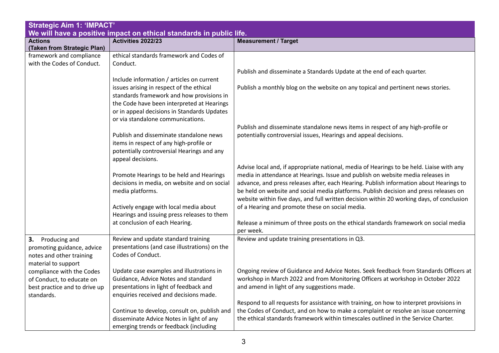| <b>Strategic Aim 1: 'IMPACT'</b><br>We will have a positive impact on ethical standards in public life. |                                               |                                                                                           |
|---------------------------------------------------------------------------------------------------------|-----------------------------------------------|-------------------------------------------------------------------------------------------|
| <b>Actions</b>                                                                                          | Activities 2022/23                            | <b>Measurement / Target</b>                                                               |
| (Taken from Strategic Plan)                                                                             |                                               |                                                                                           |
| framework and compliance                                                                                | ethical standards framework and Codes of      |                                                                                           |
| with the Codes of Conduct.                                                                              | Conduct.                                      |                                                                                           |
|                                                                                                         |                                               | Publish and disseminate a Standards Update at the end of each quarter.                    |
|                                                                                                         | Include information / articles on current     |                                                                                           |
|                                                                                                         | issues arising in respect of the ethical      | Publish a monthly blog on the website on any topical and pertinent news stories.          |
|                                                                                                         | standards framework and how provisions in     |                                                                                           |
|                                                                                                         | the Code have been interpreted at Hearings    |                                                                                           |
|                                                                                                         | or in appeal decisions in Standards Updates   |                                                                                           |
|                                                                                                         | or via standalone communications.             |                                                                                           |
|                                                                                                         |                                               | Publish and disseminate standalone news items in respect of any high-profile or           |
|                                                                                                         | Publish and disseminate standalone news       | potentially controversial issues, Hearings and appeal decisions.                          |
|                                                                                                         | items in respect of any high-profile or       |                                                                                           |
|                                                                                                         | potentially controversial Hearings and any    |                                                                                           |
|                                                                                                         | appeal decisions.                             |                                                                                           |
|                                                                                                         |                                               | Advise local and, if appropriate national, media of Hearings to be held. Liaise with any  |
|                                                                                                         | Promote Hearings to be held and Hearings      | media in attendance at Hearings. Issue and publish on website media releases in           |
|                                                                                                         | decisions in media, on website and on social  | advance, and press releases after, each Hearing. Publish information about Hearings to    |
|                                                                                                         | media platforms.                              | be held on website and social media platforms. Publish decision and press releases on     |
|                                                                                                         |                                               | website within five days, and full written decision within 20 working days, of conclusion |
|                                                                                                         | Actively engage with local media about        | of a Hearing and promote these on social media.                                           |
|                                                                                                         | Hearings and issuing press releases to them   |                                                                                           |
|                                                                                                         | at conclusion of each Hearing.                | Release a minimum of three posts on the ethical standards framework on social media       |
|                                                                                                         |                                               | per week.                                                                                 |
| 3.<br>Producing and                                                                                     | Review and update standard training           | Review and update training presentations in Q3.                                           |
| promoting guidance, advice                                                                              | presentations (and case illustrations) on the |                                                                                           |
| notes and other training                                                                                | Codes of Conduct.                             |                                                                                           |
| material to support                                                                                     |                                               |                                                                                           |
| compliance with the Codes                                                                               | Update case examples and illustrations in     | Ongoing review of Guidance and Advice Notes. Seek feedback from Standards Officers at     |
| of Conduct, to educate on                                                                               | Guidance, Advice Notes and standard           | workshop in March 2022 and from Monitoring Officers at workshop in October 2022           |
| best practice and to drive up                                                                           | presentations in light of feedback and        | and amend in light of any suggestions made.                                               |
| standards.                                                                                              | enquiries received and decisions made.        |                                                                                           |
|                                                                                                         |                                               | Respond to all requests for assistance with training, on how to interpret provisions in   |
|                                                                                                         | Continue to develop, consult on, publish and  | the Codes of Conduct, and on how to make a complaint or resolve an issue concerning       |
|                                                                                                         | disseminate Advice Notes in light of any      | the ethical standards framework within timescales outlined in the Service Charter.        |
|                                                                                                         | emerging trends or feedback (including        |                                                                                           |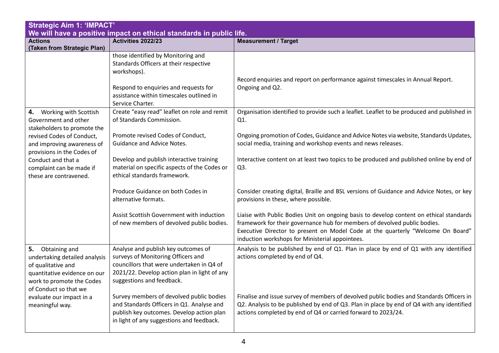| <b>Strategic Aim 1: 'IMPACT'</b><br>We will have a positive impact on ethical standards in public life.                                                       |                                                                                                                                                                                                      |                                                                                                                                                                                                                                                                                                            |
|---------------------------------------------------------------------------------------------------------------------------------------------------------------|------------------------------------------------------------------------------------------------------------------------------------------------------------------------------------------------------|------------------------------------------------------------------------------------------------------------------------------------------------------------------------------------------------------------------------------------------------------------------------------------------------------------|
| <b>Actions</b><br>(Taken from Strategic Plan)                                                                                                                 | Activities 2022/23                                                                                                                                                                                   | <b>Measurement / Target</b>                                                                                                                                                                                                                                                                                |
|                                                                                                                                                               | those identified by Monitoring and<br>Standards Officers at their respective<br>workshops).<br>Respond to enquiries and requests for<br>assistance within timescales outlined in<br>Service Charter. | Record enquiries and report on performance against timescales in Annual Report.<br>Ongoing and Q2.                                                                                                                                                                                                         |
| Working with Scottish<br>4.<br>Government and other<br>stakeholders to promote the                                                                            | Create "easy read" leaflet on role and remit<br>of Standards Commission.                                                                                                                             | Organisation identified to provide such a leaflet. Leaflet to be produced and published in<br>Q1.                                                                                                                                                                                                          |
| revised Codes of Conduct,<br>and improving awareness of<br>provisions in the Codes of                                                                         | Promote revised Codes of Conduct,<br><b>Guidance and Advice Notes.</b>                                                                                                                               | Ongoing promotion of Codes, Guidance and Advice Notes via website, Standards Updates,<br>social media, training and workshop events and news releases.                                                                                                                                                     |
| Conduct and that a<br>complaint can be made if<br>these are contravened.                                                                                      | Develop and publish interactive training<br>material on specific aspects of the Codes or<br>ethical standards framework.                                                                             | Interactive content on at least two topics to be produced and published online by end of<br>Q3.                                                                                                                                                                                                            |
|                                                                                                                                                               | Produce Guidance on both Codes in<br>alternative formats.                                                                                                                                            | Consider creating digital, Braille and BSL versions of Guidance and Advice Notes, or key<br>provisions in these, where possible.                                                                                                                                                                           |
|                                                                                                                                                               | Assist Scottish Government with induction<br>of new members of devolved public bodies.                                                                                                               | Liaise with Public Bodies Unit on ongoing basis to develop content on ethical standards<br>framework for their governance hub for members of devolved public bodies.<br>Executive Director to present on Model Code at the quarterly "Welcome On Board"<br>induction workshops for Ministerial appointees. |
| 5. Obtaining and<br>undertaking detailed analysis<br>of qualitative and<br>quantitative evidence on our<br>work to promote the Codes<br>of Conduct so that we | Analyse and publish key outcomes of<br>surveys of Monitoring Officers and<br>councillors that were undertaken in Q4 of<br>2021/22. Develop action plan in light of any<br>suggestions and feedback.  | Analysis to be published by end of Q1. Plan in place by end of Q1 with any identified<br>actions completed by end of Q4.                                                                                                                                                                                   |
| evaluate our impact in a<br>meaningful way.                                                                                                                   | Survey members of devolved public bodies<br>and Standards Officers in Q1. Analyse and<br>publish key outcomes. Develop action plan<br>in light of any suggestions and feedback.                      | Finalise and issue survey of members of devolved public bodies and Standards Officers in<br>Q2. Analysis to be published by end of Q3. Plan in place by end of Q4 with any identified<br>actions completed by end of Q4 or carried forward to 2023/24.                                                     |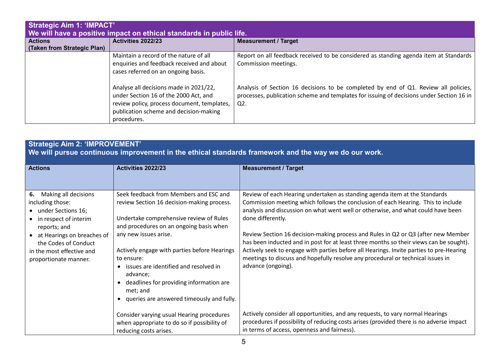| <b>Strategic Aim 1: 'IMPACT'</b><br>We will have a positive impact on ethical standards in public life. |                                                                                                                                                                                         |                                                                                                                                                                                           |
|---------------------------------------------------------------------------------------------------------|-----------------------------------------------------------------------------------------------------------------------------------------------------------------------------------------|-------------------------------------------------------------------------------------------------------------------------------------------------------------------------------------------|
| <b>Actions</b><br>(Taken from Strategic Plan)                                                           | Activities 2022/23                                                                                                                                                                      | <b>Measurement / Target</b>                                                                                                                                                               |
|                                                                                                         | Maintain a record of the nature of all<br>enquiries and feedback received and about<br>cases referred on an ongoing basis.                                                              | Report on all feedback received to be considered as standing agenda item at Standards<br>Commission meetings.                                                                             |
|                                                                                                         | Analyse all decisions made in 2021/22,<br>under Section 16 of the 2000 Act, and<br>review policy, process document, templates,<br>publication scheme and decision-making<br>procedures. | Analysis of Section 16 decisions to be completed by end of Q1. Review all policies,<br>processes, publication scheme and templates for issuing of decisions under Section 16 in<br>$Q2$ . |

# **Strategic Aim 2: 'IMPROVEMENT'**

**We will pursue continuous improvement in the ethical standards framework and the way we do our work.** 

| <b>Actions</b>                                                                                                                                                                                                                  | <b>Activities 2022/23</b>                                                                                                                                                                                                                                                                                                                                                                                                                            | <b>Measurement / Target</b>                                                                                                                                                                                                                                                                                                                                                                                                                                                                                                                                                                                                                                |
|---------------------------------------------------------------------------------------------------------------------------------------------------------------------------------------------------------------------------------|------------------------------------------------------------------------------------------------------------------------------------------------------------------------------------------------------------------------------------------------------------------------------------------------------------------------------------------------------------------------------------------------------------------------------------------------------|------------------------------------------------------------------------------------------------------------------------------------------------------------------------------------------------------------------------------------------------------------------------------------------------------------------------------------------------------------------------------------------------------------------------------------------------------------------------------------------------------------------------------------------------------------------------------------------------------------------------------------------------------------|
|                                                                                                                                                                                                                                 |                                                                                                                                                                                                                                                                                                                                                                                                                                                      |                                                                                                                                                                                                                                                                                                                                                                                                                                                                                                                                                                                                                                                            |
| Making all decisions<br>6.<br>including those:<br>• under Sections 16;<br>• in respect of interim<br>reports; and<br>• at Hearings on breaches of<br>the Codes of Conduct<br>in the most effective and<br>proportionate manner. | Seek feedback from Members and ESC and<br>review Section 16 decision-making process.<br>Undertake comprehensive review of Rules<br>and procedures on an ongoing basis when<br>any new issues arise.<br>Actively engage with parties before Hearings<br>to ensure:<br>issues are identified and resolved in<br>advance;<br>deadlines for providing information are<br>$\bullet$<br>met; and<br>queries are answered timeously and fully.<br>$\bullet$ | Review of each Hearing undertaken as standing agenda item at the Standards<br>Commission meeting which follows the conclusion of each Hearing. This to include<br>analysis and discussion on what went well or otherwise, and what could have been<br>done differently.<br>Review Section 16 decision-making process and Rules in Q2 or Q3 (after new Member<br>has been inducted and in post for at least three months so their views can be sought).<br>Actively seek to engage with parties before all Hearings. Invite parties to pre-Hearing<br>meetings to discuss and hopefully resolve any procedural or technical issues in<br>advance (ongoing). |
|                                                                                                                                                                                                                                 | Consider varying usual Hearing procedures<br>when appropriate to do so if possibility of<br>reducing costs arises.                                                                                                                                                                                                                                                                                                                                   | Actively consider all opportunities, and any requests, to vary normal Hearings<br>procedures if possibility of reducing costs arises (provided there is no adverse impact<br>in terms of access, openness and fairness).                                                                                                                                                                                                                                                                                                                                                                                                                                   |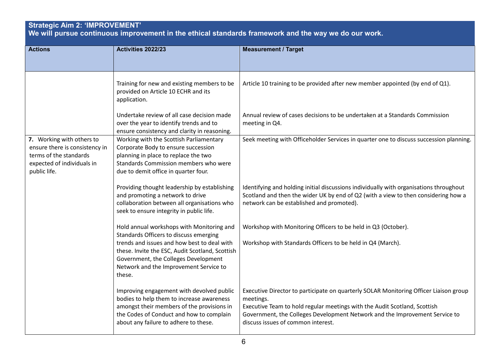### **Strategic Aim 2: 'IMPROVEMENT'**

**We will pursue continuous improvement in the ethical standards framework and the way we do our work.** 

| <b>Actions</b>                                                                                                                      | Activities 2022/23                                                                                                                                                                                                                                                                | <b>Measurement / Target</b>                                                                                                                                                                                                                                                                          |
|-------------------------------------------------------------------------------------------------------------------------------------|-----------------------------------------------------------------------------------------------------------------------------------------------------------------------------------------------------------------------------------------------------------------------------------|------------------------------------------------------------------------------------------------------------------------------------------------------------------------------------------------------------------------------------------------------------------------------------------------------|
|                                                                                                                                     |                                                                                                                                                                                                                                                                                   |                                                                                                                                                                                                                                                                                                      |
|                                                                                                                                     | Training for new and existing members to be<br>provided on Article 10 ECHR and its<br>application.                                                                                                                                                                                | Article 10 training to be provided after new member appointed (by end of Q1).                                                                                                                                                                                                                        |
|                                                                                                                                     | Undertake review of all case decision made<br>over the year to identify trends and to<br>ensure consistency and clarity in reasoning.                                                                                                                                             | Annual review of cases decisions to be undertaken at a Standards Commission<br>meeting in Q4.                                                                                                                                                                                                        |
| 7. Working with others to<br>ensure there is consistency in<br>terms of the standards<br>expected of individuals in<br>public life. | Working with the Scottish Parliamentary<br>Corporate Body to ensure succession<br>planning in place to replace the two<br>Standards Commission members who were<br>due to demit office in quarter four.                                                                           | Seek meeting with Officeholder Services in quarter one to discuss succession planning.                                                                                                                                                                                                               |
|                                                                                                                                     | Providing thought leadership by establishing<br>and promoting a network to drive<br>collaboration between all organisations who<br>seek to ensure integrity in public life.                                                                                                       | Identifying and holding initial discussions individually with organisations throughout<br>Scotland and then the wider UK by end of Q2 (with a view to then considering how a<br>network can be established and promoted).                                                                            |
|                                                                                                                                     | Hold annual workshops with Monitoring and<br>Standards Officers to discuss emerging<br>trends and issues and how best to deal with<br>these. Invite the ESC, Audit Scotland, Scottish<br>Government, the Colleges Development<br>Network and the Improvement Service to<br>these. | Workshop with Monitoring Officers to be held in Q3 (October).<br>Workshop with Standards Officers to be held in Q4 (March).                                                                                                                                                                          |
|                                                                                                                                     | Improving engagement with devolved public<br>bodies to help them to increase awareness<br>amongst their members of the provisions in<br>the Codes of Conduct and how to complain<br>about any failure to adhere to these.                                                         | Executive Director to participate on quarterly SOLAR Monitoring Officer Liaison group<br>meetings.<br>Executive Team to hold regular meetings with the Audit Scotland, Scottish<br>Government, the Colleges Development Network and the Improvement Service to<br>discuss issues of common interest. |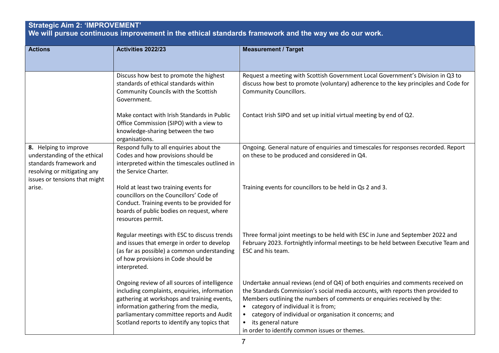#### **Strategic Aim 2: 'IMPROVEMENT' We will pursue continuous improvement in the ethical standards framework and the way we do our work. Actions Activities 2022/23 Measurement / Target** Discuss how best to promote the highest standards of ethical standards within Community Councils with the Scottish Government. Make contact with Irish Standards in Public Office Commission (SIPO) with a view to knowledge-sharing between the two organisations. Request a meeting with Scottish Government Local Government's Division in Q3 to discuss how best to promote (voluntary) adherence to the key principles and Code for Community Councillors. Contact Irish SIPO and set up initial virtual meeting by end of Q2. **8.** Helping to improve understanding of the ethical standards framework and resolving or mitigating any issues or tensions that might arise. Respond fully to all enquiries about the Codes and how provisions should be interpreted within the timescales outlined in the Service Charter. Hold at least two training events for councillors on the Councillors' Code of Conduct. Training events to be provided for boards of public bodies on request, where resources permit. Regular meetings with ESC to discuss trends and issues that emerge in order to develop (as far as possible) a common understanding of how provisions in Code should be interpreted. Ongoing review of all sources of intelligence including complaints, enquiries, information gathering at workshops and training events, information gathering from the media, parliamentary committee reports and Audit Scotland reports to identify any topics that Ongoing. General nature of enquiries and timescales for responses recorded. Report on these to be produced and considered in Q4. Training events for councillors to be held in Qs 2 and 3. Three formal joint meetings to be held with ESC in June and September 2022 and February 2023. Fortnightly informal meetings to be held between Executive Team and ESC and his team. Undertake annual reviews (end of Q4) of both enquiries and comments received on the Standards Commission's social media accounts, with reports then provided to Members outlining the numbers of comments or enquiries received by the: • category of individual it is from; • category of individual or organisation it concerns; and • its general nature

in order to identify common issues or themes.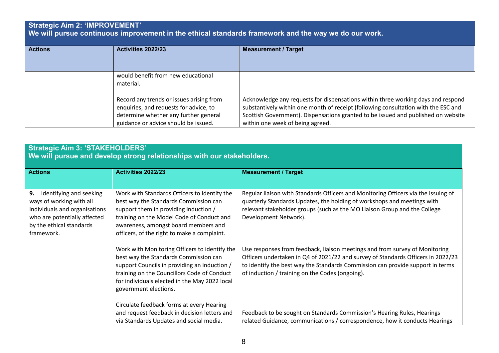# **Strategic Aim 2: 'IMPROVEMENT'**

**We will pursue continuous improvement in the ethical standards framework and the way we do our work.** 

| <b>Actions</b> | <b>Activities 2022/23</b>                                                                                                                                           | <b>Measurement / Target</b>                                                                                                                                                                                                                                                                     |
|----------------|---------------------------------------------------------------------------------------------------------------------------------------------------------------------|-------------------------------------------------------------------------------------------------------------------------------------------------------------------------------------------------------------------------------------------------------------------------------------------------|
|                | would benefit from new educational<br>material.                                                                                                                     |                                                                                                                                                                                                                                                                                                 |
|                | Record any trends or issues arising from<br>enquiries, and requests for advice, to<br>determine whether any further general<br>guidance or advice should be issued. | Acknowledge any requests for dispensations within three working days and respond<br>substantively within one month of receipt (following consultation with the ESC and<br>Scottish Government). Dispensations granted to be issued and published on website<br>within one week of being agreed. |

### **Strategic Aim 3: 'STAKEHOLDERS'**

**We will pursue and develop strong relationships with our stakeholders.** 

| <b>Actions</b>                                                                                                                                                       | <b>Activities 2022/23</b>                                                                                                                                                                                                                                          | <b>Measurement / Target</b>                                                                                                                                                                                                                                                                          |
|----------------------------------------------------------------------------------------------------------------------------------------------------------------------|--------------------------------------------------------------------------------------------------------------------------------------------------------------------------------------------------------------------------------------------------------------------|------------------------------------------------------------------------------------------------------------------------------------------------------------------------------------------------------------------------------------------------------------------------------------------------------|
|                                                                                                                                                                      |                                                                                                                                                                                                                                                                    |                                                                                                                                                                                                                                                                                                      |
| 9.<br>Identifying and seeking<br>ways of working with all<br>individuals and organisations<br>who are potentially affected<br>by the ethical standards<br>framework. | Work with Standards Officers to identify the<br>best way the Standards Commission can<br>support them in providing induction /<br>training on the Model Code of Conduct and<br>awareness, amongst board members and<br>officers, of the right to make a complaint. | Regular liaison with Standards Officers and Monitoring Officers via the issuing of<br>quarterly Standards Updates, the holding of workshops and meetings with<br>relevant stakeholder groups (such as the MO Liaison Group and the College<br>Development Network).                                  |
|                                                                                                                                                                      | Work with Monitoring Officers to identify the<br>best way the Standards Commission can<br>support Councils in providing an induction /<br>training on the Councillors Code of Conduct<br>for individuals elected in the May 2022 local<br>government elections.    | Use responses from feedback, liaison meetings and from survey of Monitoring<br>Officers undertaken in Q4 of 2021/22 and survey of Standards Officers in 2022/23<br>to identify the best way the Standards Commission can provide support in terms<br>of induction / training on the Codes (ongoing). |
|                                                                                                                                                                      | Circulate feedback forms at every Hearing<br>and request feedback in decision letters and<br>via Standards Updates and social media.                                                                                                                               | Feedback to be sought on Standards Commission's Hearing Rules, Hearings<br>related Guidance, communications / correspondence, how it conducts Hearings                                                                                                                                               |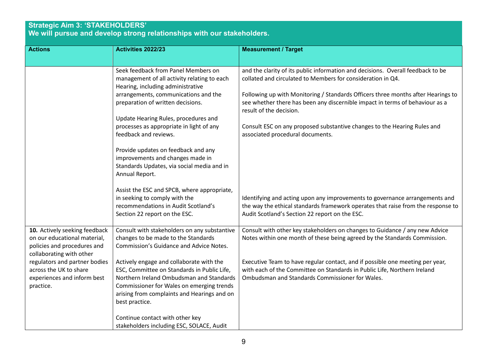### **Strategic Aim 3: 'STAKEHOLDERS' We will pursue and develop strong relationships with our stakeholders.**

| <b>Actions</b>                                                                                                           | Activities 2022/23                                                                                                                                                                                                                                | <b>Measurement / Target</b>                                                                                                                                                                                       |
|--------------------------------------------------------------------------------------------------------------------------|---------------------------------------------------------------------------------------------------------------------------------------------------------------------------------------------------------------------------------------------------|-------------------------------------------------------------------------------------------------------------------------------------------------------------------------------------------------------------------|
|                                                                                                                          |                                                                                                                                                                                                                                                   |                                                                                                                                                                                                                   |
|                                                                                                                          | Seek feedback from Panel Members on<br>management of all activity relating to each<br>Hearing, including administrative                                                                                                                           | and the clarity of its public information and decisions. Overall feedback to be<br>collated and circulated to Members for consideration in Q4.                                                                    |
|                                                                                                                          | arrangements, communications and the<br>preparation of written decisions.                                                                                                                                                                         | Following up with Monitoring / Standards Officers three months after Hearings to<br>see whether there has been any discernible impact in terms of behaviour as a<br>result of the decision.                       |
|                                                                                                                          | Update Hearing Rules, procedures and                                                                                                                                                                                                              |                                                                                                                                                                                                                   |
|                                                                                                                          | processes as appropriate in light of any<br>feedback and reviews.                                                                                                                                                                                 | Consult ESC on any proposed substantive changes to the Hearing Rules and<br>associated procedural documents.                                                                                                      |
|                                                                                                                          | Provide updates on feedback and any<br>improvements and changes made in<br>Standards Updates, via social media and in<br>Annual Report.                                                                                                           |                                                                                                                                                                                                                   |
|                                                                                                                          | Assist the ESC and SPCB, where appropriate,<br>in seeking to comply with the<br>recommendations in Audit Scotland's<br>Section 22 report on the ESC.                                                                                              | Identifying and acting upon any improvements to governance arrangements and<br>the way the ethical standards framework operates that raise from the response to<br>Audit Scotland's Section 22 report on the ESC. |
| 10. Actively seeking feedback<br>on our educational material,<br>policies and procedures and<br>collaborating with other | Consult with stakeholders on any substantive<br>changes to be made to the Standards<br>Commission's Guidance and Advice Notes.                                                                                                                    | Consult with other key stakeholders on changes to Guidance / any new Advice<br>Notes within one month of these being agreed by the Standards Commission.                                                          |
| regulators and partner bodies<br>across the UK to share<br>experiences and inform best<br>practice.                      | Actively engage and collaborate with the<br>ESC, Committee on Standards in Public Life,<br>Northern Ireland Ombudsman and Standards<br>Commissioner for Wales on emerging trends<br>arising from complaints and Hearings and on<br>best practice. | Executive Team to have regular contact, and if possible one meeting per year,<br>with each of the Committee on Standards in Public Life, Northern Ireland<br>Ombudsman and Standards Commissioner for Wales.      |
|                                                                                                                          | Continue contact with other key<br>stakeholders including ESC, SOLACE, Audit                                                                                                                                                                      |                                                                                                                                                                                                                   |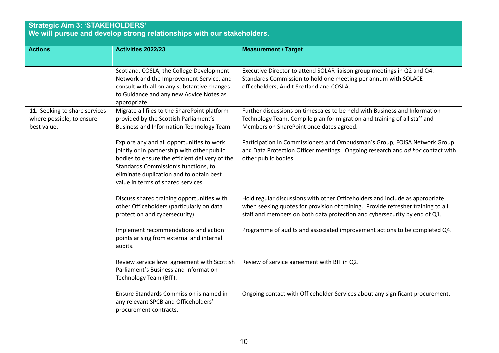### **Strategic Aim 3: 'STAKEHOLDERS' We will pursue and develop strong relationships with our stakeholders.**

| <b>Actions</b>                                                            | Activities 2022/23                                                                                                                                                                                                                                                   | <b>Measurement / Target</b>                                                                                                                                                                                                                   |
|---------------------------------------------------------------------------|----------------------------------------------------------------------------------------------------------------------------------------------------------------------------------------------------------------------------------------------------------------------|-----------------------------------------------------------------------------------------------------------------------------------------------------------------------------------------------------------------------------------------------|
|                                                                           |                                                                                                                                                                                                                                                                      |                                                                                                                                                                                                                                               |
|                                                                           | Scotland, COSLA, the College Development<br>Network and the Improvement Service, and<br>consult with all on any substantive changes<br>to Guidance and any new Advice Notes as<br>appropriate.                                                                       | Executive Director to attend SOLAR liaison group meetings in Q2 and Q4.<br>Standards Commission to hold one meeting per annum with SOLACE<br>officeholders, Audit Scotland and COSLA.                                                         |
| 11. Seeking to share services<br>where possible, to ensure<br>best value. | Migrate all files to the SharePoint platform<br>provided by the Scottish Parliament's<br>Business and Information Technology Team.                                                                                                                                   | Further discussions on timescales to be held with Business and Information<br>Technology Team. Compile plan for migration and training of all staff and<br>Members on SharePoint once dates agreed.                                           |
|                                                                           | Explore any and all opportunities to work<br>jointly or in partnership with other public<br>bodies to ensure the efficient delivery of the<br>Standards Commission's functions, to<br>eliminate duplication and to obtain best<br>value in terms of shared services. | Participation in Commissioners and Ombudsman's Group, FOISA Network Group<br>and Data Protection Officer meetings. Ongoing research and ad hoc contact with<br>other public bodies.                                                           |
|                                                                           | Discuss shared training opportunities with<br>other Officeholders (particularly on data<br>protection and cybersecurity).                                                                                                                                            | Hold regular discussions with other Officeholders and include as appropriate<br>when seeking quotes for provision of training. Provide refresher training to all<br>staff and members on both data protection and cybersecurity by end of Q1. |
|                                                                           | Implement recommendations and action<br>points arising from external and internal<br>audits.                                                                                                                                                                         | Programme of audits and associated improvement actions to be completed Q4.                                                                                                                                                                    |
|                                                                           | Review service level agreement with Scottish<br>Parliament's Business and Information<br>Technology Team (BIT).                                                                                                                                                      | Review of service agreement with BIT in Q2.                                                                                                                                                                                                   |
|                                                                           | Ensure Standards Commission is named in<br>any relevant SPCB and Officeholders'<br>procurement contracts.                                                                                                                                                            | Ongoing contact with Officeholder Services about any significant procurement.                                                                                                                                                                 |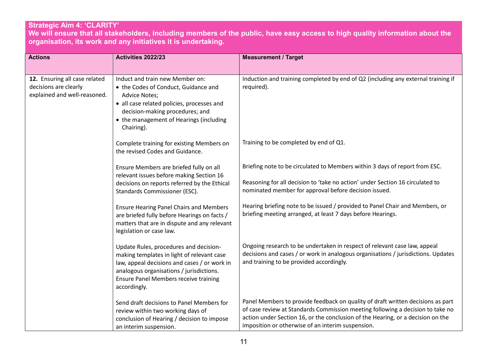## **Strategic Aim 4: 'CLARITY'**

**We will ensure that all stakeholders, including members of the public, have easy access to high quality information about the organisation, its work and any initiatives it is undertaking.** 

| <b>Actions</b>                                                                         | Activities 2022/23                                                                                                                                                                                                                               | <b>Measurement / Target</b>                                                                                                                                                                                                                                                                               |
|----------------------------------------------------------------------------------------|--------------------------------------------------------------------------------------------------------------------------------------------------------------------------------------------------------------------------------------------------|-----------------------------------------------------------------------------------------------------------------------------------------------------------------------------------------------------------------------------------------------------------------------------------------------------------|
| 12. Ensuring all case related<br>decisions are clearly<br>explained and well-reasoned. | Induct and train new Member on:<br>• the Codes of Conduct, Guidance and<br><b>Advice Notes;</b><br>• all case related policies, processes and<br>decision-making procedures; and<br>• the management of Hearings (including<br>Chairing).        | Induction and training completed by end of Q2 (including any external training if<br>required).                                                                                                                                                                                                           |
|                                                                                        | Complete training for existing Members on<br>the revised Codes and Guidance.                                                                                                                                                                     | Training to be completed by end of Q1.                                                                                                                                                                                                                                                                    |
|                                                                                        | Ensure Members are briefed fully on all<br>relevant issues before making Section 16<br>decisions on reports referred by the Ethical<br>Standards Commissioner (ESC).                                                                             | Briefing note to be circulated to Members within 3 days of report from ESC.<br>Reasoning for all decision to 'take no action' under Section 16 circulated to<br>nominated member for approval before decision issued.                                                                                     |
|                                                                                        | <b>Ensure Hearing Panel Chairs and Members</b><br>are briefed fully before Hearings on facts /<br>matters that are in dispute and any relevant<br>legislation or case law.                                                                       | Hearing briefing note to be issued / provided to Panel Chair and Members, or<br>briefing meeting arranged, at least 7 days before Hearings.                                                                                                                                                               |
|                                                                                        | Update Rules, procedures and decision-<br>making templates in light of relevant case<br>law, appeal decisions and cases / or work in<br>analogous organisations / jurisdictions.<br><b>Ensure Panel Members receive training</b><br>accordingly. | Ongoing research to be undertaken in respect of relevant case law, appeal<br>decisions and cases / or work in analogous organisations / jurisdictions. Updates<br>and training to be provided accordingly.                                                                                                |
|                                                                                        | Send draft decisions to Panel Members for<br>review within two working days of<br>conclusion of Hearing / decision to impose<br>an interim suspension.                                                                                           | Panel Members to provide feedback on quality of draft written decisions as part<br>of case review at Standards Commission meeting following a decision to take no<br>action under Section 16, or the conclusion of the Hearing, or a decision on the<br>imposition or otherwise of an interim suspension. |